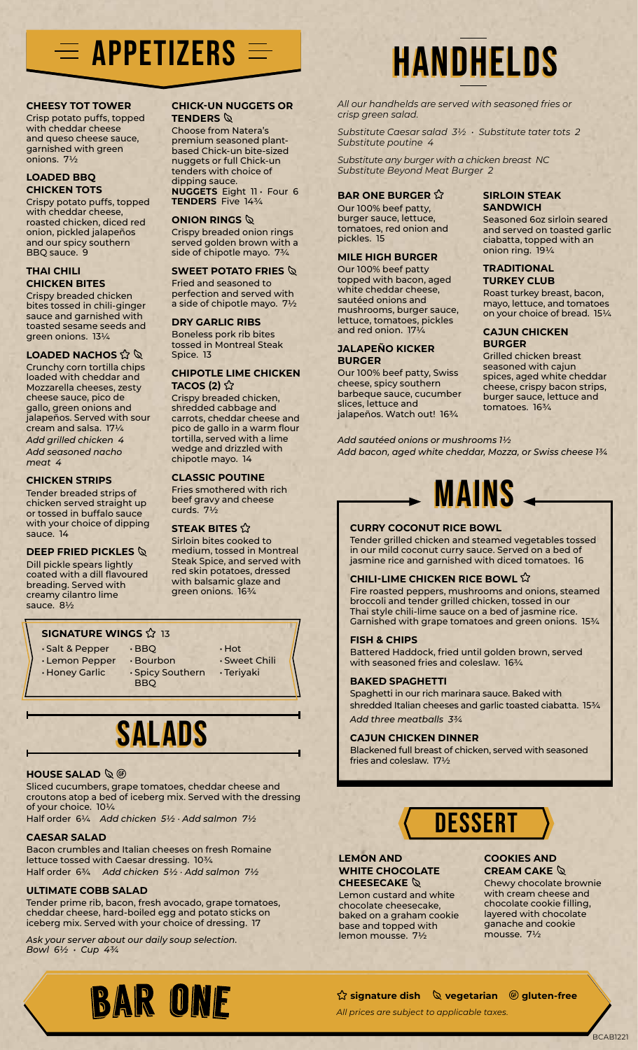## $\equiv$  appetizers  $\equiv$  handhelds

### **CHEESY TOT TOWER**

Crisp potato puffs, topped with cheddar cheese and queso cheese sauce, garnished with green onions. 7½

### **LOADED BBQ CHICKEN TOTS**

Crispy potato puffs, topped with cheddar cheese, roasted chicken, diced red onion, pickled jalapeños and our spicy southern BBQ sauce. 9

### **THAI CHILI CHICKEN BITES**

Crispy breaded chicken bites tossed in chili‑ginger sauce and garnished with toasted sesame seeds and green onions. 13¼

### **LOADED NACHOS**  $\hat{\mathbb{Q}}$

Crunchy corn tortilla chips loaded with cheddar and Mozzarella cheeses, zesty cheese sauce, pico de gallo, green onions and jalapeños. Served with sour cream and salsa. 17¼ *Add grilled chicken 4 Add seasoned nacho meat 4*

### **CHICKEN STRIPS**

Tender breaded strips of chicken served straight up or tossed in buffalo sauce with your choice of dipping sauce. 14

### **DEEP FRIED PICKLES**

Dill pickle spears lightly coated with a dill flavoured breading. Served with creamy cilantro lime sauce. 8½

### **SIGNATURE WINGS**  $\hat{\mathbf{x}}$  13

• Salt & Pepper • Lemon Pepper

• Honey Garlic

- BBQ
- BBQ • Bourbon • Spicy Southern

### SALADS

### **HOUSE SALAD**  $\&$  $\circledR$

Sliced cucumbers, grape tomatoes, cheddar cheese and croutons atop a bed of iceberg mix. Served with the dressing of your choice. 10¼

Half order 6¼ *Add chicken 5½ · Add salmon 7½*

### **CAESAR SALAD**

Bacon crumbles and Italian cheeses on fresh Romaine lettuce tossed with Caesar dressing. 10¾ Half order 6¾ *Add chicken 5½ · Add salmon 7½*

### **ULTIMATE COBB SALAD**

Tender prime rib, bacon, fresh avocado, grape tomatoes, cheddar cheese, hard‑boiled egg and potato sticks on iceberg mix. Served with your choice of dressing. 17

*Ask your server about our daily soup selection. Bowl 6½ • Cup 4¾*



### **CHICK-UN NUGGETS OR TENDERS**  $\mathbb Q$

Choose from Natera's premium seasoned plantbased Chick-un bite-sized nuggets or full Chick-un tenders with choice of dipping sauce. **NUGGETS** Eight 11 • Four 6 **TENDERS** Five 14¾

### **ONION RINGS**

Crispy breaded onion rings served golden brown with a side of chipotle mayo. 7¾

### **SWEET POTATO FRIES**

Fried and seasoned to perfection and served with a side of chipotle mayo. 7½

### **DRY GARLIC RIBS**

Boneless pork rib bites tossed in Montreal Steak Spice. 13

### **CHIPOTLE LIME CHICKEN TACOS (2)** ☆

Crispy breaded chicken, shredded cabbage and carrots, cheddar cheese and pico de gallo in a warm flour tortilla, served with a lime wedge and drizzled with chipotle mayo. 14

### **CLASSIC POUTINE**

Fries smothered with rich beef gravy and cheese curds. 7½

### **STEAK BITES**

Sirloin bites cooked to medium, tossed in Montreal Steak Spice, and served with red skin potatoes, dressed with balsamic glaze and green onions. 163/4

*All our handhelds are served with seasoned fries or crisp green salad.*

*Substitute Caesar salad 3½ • Substitute tater tots 2 Substitute poutine 4*

*Substitute any burger with a chicken breast NC Substitute Beyond Meat Burger 2*

### **BAR ONE BURGER**

Our 100% beef patty, burger sauce, lettuce, tomatoes, red onion and pickles. 15

### **MILE HIGH BURGER**

Our 100% beef patty topped with bacon, aged white cheddar cheese, sautéed onions and mushrooms, burger sauce, lettuce, tomatoes, pickles and red onion. 17¼

### **JALAPEÑO KICKER BURGER**

Our 100% beef patty, Swiss cheese, spicy southern barbeque sauce, cucumber slices, lettuce and jalapeños. Watch out! 16¾

**SIRLOIN STEAK SANDWICH**

Seasoned 6oz sirloin seared and served on toasted garlic ciabatta, topped with an onion ring. 19¼

### **TRADITIONAL TURKEY CLUB**

Roast turkey breast, bacon, mayo, lettuce, and tomatoes on your choice of bread. 15¼

### **CAJUN CHICKEN BURGER**

Grilled chicken breast seasoned with cajun spices, aged white cheddar cheese, crispy bacon strips, burger sauce, lettuce and tomatoes. 16¾

*Add sautéed onions or mushrooms 1½ Add bacon, aged white cheddar, Mozza, or Swiss cheese 1¾*



### **CURRY COCONUT RICE BOWL**

Tender grilled chicken and steamed vegetables tossed in our mild coconut curry sauce. Served on a bed of jasmine rice and garnished with diced tomatoes. 16

### **CHILI-LIME CHICKEN RICE BOWL**

Fire roasted peppers, mushrooms and onions, steamed broccoli and tender grilled chicken, tossed in our Thai style chili-lime sauce on a bed of jasmine rice. Garnished with grape tomatoes and green onions. 15¾

### **FISH & CHIPS**

Battered Haddock, fried until golden brown, served with seasoned fries and coleslaw. 163/4

### **BAKED SPAGHETTI**

Spaghetti in our rich marinara sauce. Baked with shredded Italian cheeses and garlic toasted ciabatta. 15¾ *Add three meatballs 3¾*

### **CAJUN CHICKEN DINNER**

Blackened full breast of chicken, served with seasoned fries and coleslaw. 17½

## **DESSERT**

### **LEMON AND WHITE CHOCOLATE CHEESECAKE**

Lemon custard and white chocolate cheesecake, baked on a graham cookie base and topped with lemon mousse. 7½

### **COOKIES AND CREAM CAKE**

Chewy chocolate brownie with cream cheese and chocolate cookie filling, layered with chocolate ganache and cookie mousse. 7½

### **公 signature dish 《 vegetarian <sup>⑥</sup> gluten-free**

*All prices are subject to applicable taxes.*

BCAB1221

• Hot • Sweet Chili • Teriyaki